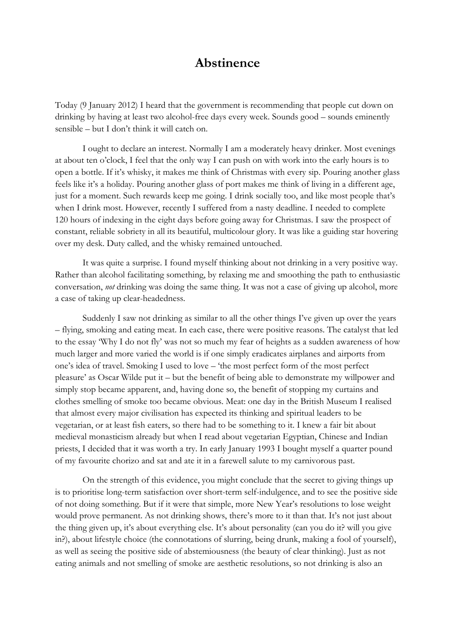## **Abstinence**

Today (9 January 2012) I heard that the government is recommending that people cut down on drinking by having at least two alcohol-free days every week. Sounds good – sounds eminently sensible – but I don't think it will catch on.

I ought to declare an interest. Normally I am a moderately heavy drinker. Most evenings at about ten o'clock, I feel that the only way I can push on with work into the early hours is to open a bottle. If it's whisky, it makes me think of Christmas with every sip. Pouring another glass feels like it's a holiday. Pouring another glass of port makes me think of living in a different age, just for a moment. Such rewards keep me going. I drink socially too, and like most people that's when I drink most. However, recently I suffered from a nasty deadline. I needed to complete 120 hours of indexing in the eight days before going away for Christmas. I saw the prospect of constant, reliable sobriety in all its beautiful, multicolour glory. It was like a guiding star hovering over my desk. Duty called, and the whisky remained untouched.

It was quite a surprise. I found myself thinking about not drinking in a very positive way. Rather than alcohol facilitating something, by relaxing me and smoothing the path to enthusiastic conversation, *not* drinking was doing the same thing. It was not a case of giving up alcohol, more a case of taking up clear-headedness.

Suddenly I saw not drinking as similar to all the other things I've given up over the years – flying, smoking and eating meat. In each case, there were positive reasons. The catalyst that led to the essay 'Why I do not fly' was not so much my fear of heights as a sudden awareness of how much larger and more varied the world is if one simply eradicates airplanes and airports from one's idea of travel. Smoking I used to love – 'the most perfect form of the most perfect pleasure' as Oscar Wilde put it – but the benefit of being able to demonstrate my willpower and simply stop became apparent, and, having done so, the benefit of stopping my curtains and clothes smelling of smoke too became obvious. Meat: one day in the British Museum I realised that almost every major civilisation has expected its thinking and spiritual leaders to be vegetarian, or at least fish eaters, so there had to be something to it. I knew a fair bit about medieval monasticism already but when I read about vegetarian Egyptian, Chinese and Indian priests, I decided that it was worth a try. In early January 1993 I bought myself a quarter pound of my favourite chorizo and sat and ate it in a farewell salute to my carnivorous past.

On the strength of this evidence, you might conclude that the secret to giving things up is to prioritise long-term satisfaction over short-term self-indulgence, and to see the positive side of not doing something. But if it were that simple, more New Year's resolutions to lose weight would prove permanent. As not drinking shows, there's more to it than that. It's not just about the thing given up, it's about everything else. It's about personality (can you do it? will you give in?), about lifestyle choice (the connotations of slurring, being drunk, making a fool of yourself), as well as seeing the positive side of abstemiousness (the beauty of clear thinking). Just as not eating animals and not smelling of smoke are aesthetic resolutions, so not drinking is also an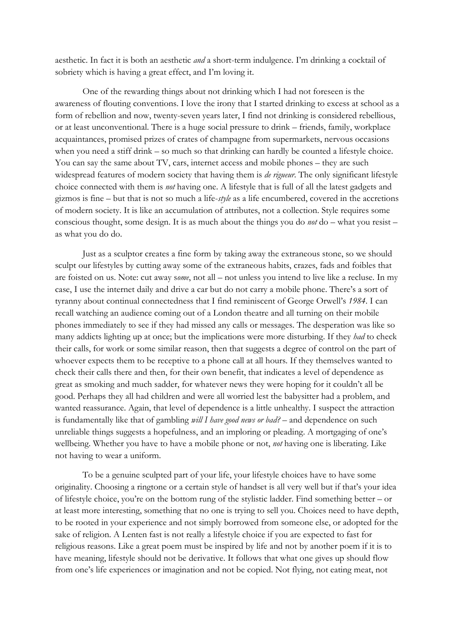aesthetic. In fact it is both an aesthetic *and* a short-term indulgence. I'm drinking a cocktail of sobriety which is having a great effect, and I'm loving it.

One of the rewarding things about not drinking which I had not foreseen is the awareness of flouting conventions. I love the irony that I started drinking to excess at school as a form of rebellion and now, twenty-seven years later, I find not drinking is considered rebellious, or at least unconventional. There is a huge social pressure to drink – friends, family, workplace acquaintances, promised prizes of crates of champagne from supermarkets, nervous occasions when you need a stiff drink – so much so that drinking can hardly be counted a lifestyle choice. You can say the same about TV, cars, internet access and mobile phones – they are such widespread features of modern society that having them is *de rigueur*. The only significant lifestyle choice connected with them is *not* having one. A lifestyle that is full of all the latest gadgets and gizmos is fine – but that is not so much a life-*style* as a life encumbered, covered in the accretions of modern society. It is like an accumulation of attributes, not a collection. Style requires some conscious thought, some design. It is as much about the things you do *not* do – what you resist – as what you do do.

Just as a sculptor creates a fine form by taking away the extraneous stone, so we should sculpt our lifestyles by cutting away some of the extraneous habits, crazes, fads and foibles that are foisted on us. Note: cut away s*ome*, not all – not unless you intend to live like a recluse. In my case, I use the internet daily and drive a car but do not carry a mobile phone. There's a sort of tyranny about continual connectedness that I find reminiscent of George Orwell's *1984*. I can recall watching an audience coming out of a London theatre and all turning on their mobile phones immediately to see if they had missed any calls or messages. The desperation was like so many addicts lighting up at once; but the implications were more disturbing. If they *had* to check their calls, for work or some similar reason, then that suggests a degree of control on the part of whoever expects them to be receptive to a phone call at all hours. If they themselves wanted to check their calls there and then, for their own benefit, that indicates a level of dependence as great as smoking and much sadder, for whatever news they were hoping for it couldn't all be good. Perhaps they all had children and were all worried lest the babysitter had a problem, and wanted reassurance. Again, that level of dependence is a little unhealthy. I suspect the attraction is fundamentally like that of gambling *will I have good news or bad?* – and dependence on such unreliable things suggests a hopefulness, and an imploring or pleading. A mortgaging of one's wellbeing. Whether you have to have a mobile phone or not, *not* having one is liberating. Like not having to wear a uniform.

To be a genuine sculpted part of your life, your lifestyle choices have to have some originality. Choosing a ringtone or a certain style of handset is all very well but if that's your idea of lifestyle choice, you're on the bottom rung of the stylistic ladder. Find something better – or at least more interesting, something that no one is trying to sell you. Choices need to have depth, to be rooted in your experience and not simply borrowed from someone else, or adopted for the sake of religion. A Lenten fast is not really a lifestyle choice if you are expected to fast for religious reasons. Like a great poem must be inspired by life and not by another poem if it is to have meaning, lifestyle should not be derivative. It follows that what one gives up should flow from one's life experiences or imagination and not be copied. Not flying, not eating meat, not